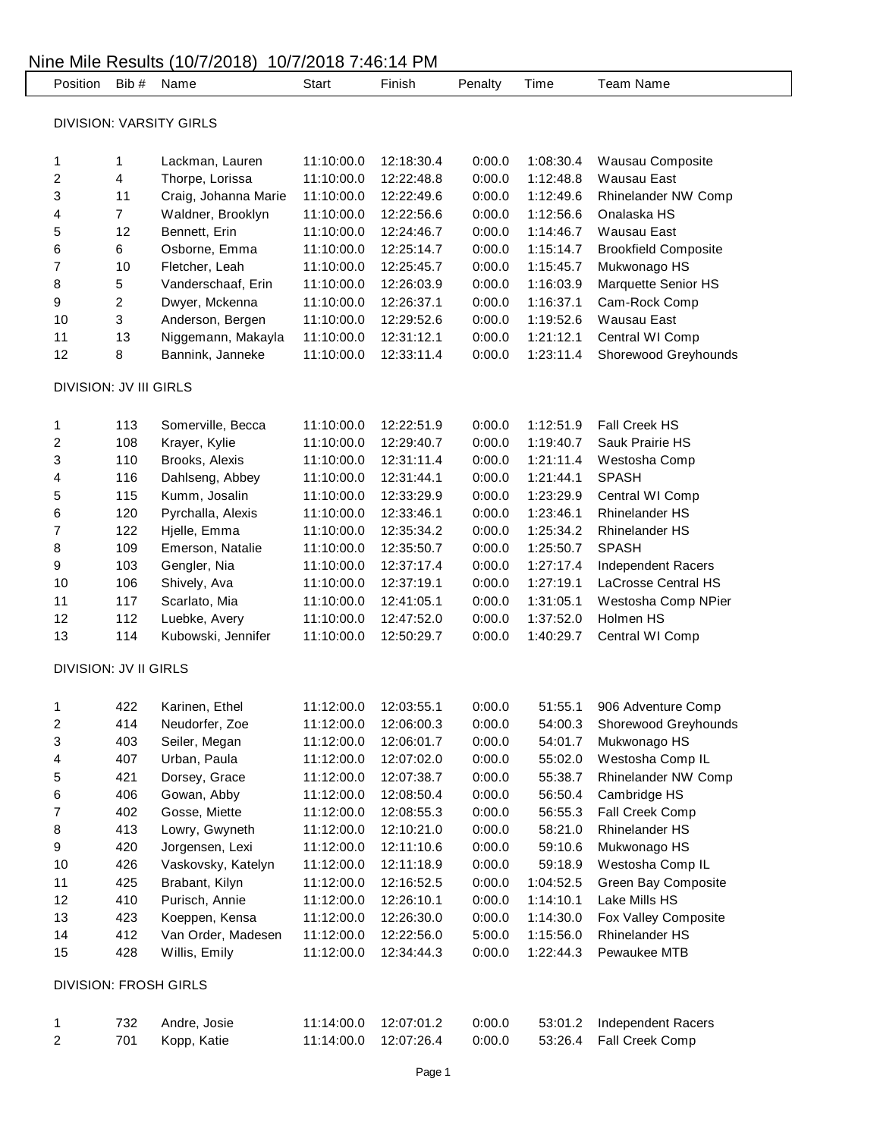| <b>DIVISION: VARSITY GIRLS</b><br>1<br>1<br>2<br>4<br>3<br>11<br>$\overline{7}$<br>4<br>12<br>5<br>6<br>6<br>10<br>7<br>5<br>8<br>9<br>$\overline{c}$<br>3<br>10<br>11<br>13<br>12<br>8 |                      |            |            |        |           |                             |
|-----------------------------------------------------------------------------------------------------------------------------------------------------------------------------------------|----------------------|------------|------------|--------|-----------|-----------------------------|
|                                                                                                                                                                                         |                      |            |            |        |           |                             |
|                                                                                                                                                                                         |                      |            |            |        |           |                             |
|                                                                                                                                                                                         | Lackman, Lauren      | 11:10:00.0 | 12:18:30.4 | 0:00.0 | 1:08:30.4 | Wausau Composite            |
|                                                                                                                                                                                         | Thorpe, Lorissa      | 11:10:00.0 | 12:22:48.8 | 0:00.0 | 1:12:48.8 | <b>Wausau East</b>          |
|                                                                                                                                                                                         | Craig, Johanna Marie | 11:10:00.0 | 12:22:49.6 | 0:00.0 | 1:12:49.6 | Rhinelander NW Comp         |
|                                                                                                                                                                                         | Waldner, Brooklyn    | 11:10:00.0 | 12:22:56.6 | 0:00.0 | 1:12:56.6 | Onalaska HS                 |
|                                                                                                                                                                                         | Bennett, Erin        | 11:10:00.0 | 12:24:46.7 | 0:00.0 | 1:14:46.7 | Wausau East                 |
|                                                                                                                                                                                         | Osborne, Emma        | 11:10:00.0 | 12:25:14.7 | 0:00.0 | 1:15:14.7 | <b>Brookfield Composite</b> |
|                                                                                                                                                                                         | Fletcher, Leah       | 11:10:00.0 | 12:25:45.7 | 0:00.0 | 1:15:45.7 | Mukwonago HS                |
|                                                                                                                                                                                         | Vanderschaaf, Erin   | 11:10:00.0 | 12:26:03.9 | 0:00.0 | 1:16:03.9 | Marquette Senior HS         |
|                                                                                                                                                                                         | Dwyer, Mckenna       | 11:10:00.0 | 12:26:37.1 | 0:00.0 | 1:16:37.1 | Cam-Rock Comp               |
|                                                                                                                                                                                         | Anderson, Bergen     | 11:10:00.0 | 12:29:52.6 | 0:00.0 | 1:19:52.6 | <b>Wausau East</b>          |
|                                                                                                                                                                                         | Niggemann, Makayla   | 11:10:00.0 | 12:31:12.1 | 0:00.0 | 1:21:12.1 | Central WI Comp             |
|                                                                                                                                                                                         | Bannink, Janneke     | 11:10:00.0 | 12:33:11.4 | 0:00.0 | 1:23:11.4 | Shorewood Greyhounds        |
| <b>DIVISION: JV III GIRLS</b>                                                                                                                                                           |                      |            |            |        |           |                             |
| 1<br>113                                                                                                                                                                                | Somerville, Becca    | 11:10:00.0 | 12:22:51.9 | 0:00.0 | 1:12:51.9 | Fall Creek HS               |
| 2<br>108                                                                                                                                                                                | Krayer, Kylie        | 11:10:00.0 | 12:29:40.7 | 0:00.0 | 1:19:40.7 | Sauk Prairie HS             |
| 3<br>110                                                                                                                                                                                | Brooks, Alexis       | 11:10:00.0 | 12:31:11.4 | 0:00.0 | 1:21:11.4 | Westosha Comp               |
| 116<br>4                                                                                                                                                                                | Dahlseng, Abbey      | 11:10:00.0 | 12:31:44.1 | 0:00.0 | 1:21:44.1 | <b>SPASH</b>                |
| 115<br>5                                                                                                                                                                                | Kumm, Josalin        | 11:10:00.0 | 12:33:29.9 | 0:00.0 | 1:23:29.9 | Central WI Comp             |
| 120<br>6                                                                                                                                                                                | Pyrchalla, Alexis    | 11:10:00.0 | 12:33:46.1 | 0:00.0 | 1:23:46.1 | <b>Rhinelander HS</b>       |
| 7<br>122                                                                                                                                                                                | Hjelle, Emma         | 11:10:00.0 | 12:35:34.2 | 0:00.0 | 1:25:34.2 | <b>Rhinelander HS</b>       |
| 109<br>8                                                                                                                                                                                | Emerson, Natalie     | 11:10:00.0 | 12:35:50.7 | 0:00.0 | 1:25:50.7 | <b>SPASH</b>                |
| 9<br>103                                                                                                                                                                                | Gengler, Nia         | 11:10:00.0 | 12:37:17.4 | 0:00.0 | 1:27:17.4 | <b>Independent Racers</b>   |
| 106<br>10                                                                                                                                                                               | Shively, Ava         | 11:10:00.0 | 12:37:19.1 | 0:00.0 | 1:27:19.1 | LaCrosse Central HS         |
| 117<br>11                                                                                                                                                                               | Scarlato, Mia        | 11:10:00.0 | 12:41:05.1 | 0:00.0 | 1:31:05.1 | Westosha Comp NPier         |
| 12<br>112                                                                                                                                                                               | Luebke, Avery        | 11:10:00.0 | 12:47:52.0 | 0:00.0 | 1:37:52.0 | Holmen HS                   |
| 13<br>114                                                                                                                                                                               | Kubowski, Jennifer   | 11:10:00.0 | 12:50:29.7 | 0:00.0 | 1:40:29.7 | Central WI Comp             |
| <b>DIVISION: JV II GIRLS</b>                                                                                                                                                            |                      |            |            |        |           |                             |
| 1<br>422                                                                                                                                                                                | Karinen, Ethel       | 11:12:00.0 | 12:03:55.1 | 0:00.0 | 51:55.1   | 906 Adventure Comp          |
| 2<br>414                                                                                                                                                                                | Neudorfer, Zoe       | 11:12:00.0 | 12:06:00.3 | 0:00.0 | 54:00.3   | Shorewood Greyhounds        |
| 3<br>403                                                                                                                                                                                | Seiler, Megan        | 11:12:00.0 | 12:06:01.7 | 0:00.0 | 54:01.7   | Mukwonago HS                |
| 4<br>407                                                                                                                                                                                | Urban, Paula         | 11:12:00.0 | 12:07:02.0 | 0:00.0 | 55:02.0   | Westosha Comp IL            |
| 5<br>421                                                                                                                                                                                | Dorsey, Grace        | 11:12:00.0 | 12:07:38.7 | 0:00.0 | 55:38.7   | Rhinelander NW Comp         |
| 6<br>406                                                                                                                                                                                | Gowan, Abby          | 11:12:00.0 | 12:08:50.4 | 0:00.0 | 56:50.4   | Cambridge HS                |
| 7<br>402                                                                                                                                                                                | Gosse, Miette        | 11:12:00.0 | 12:08:55.3 | 0:00.0 | 56:55.3   | Fall Creek Comp             |
| 8<br>413                                                                                                                                                                                | Lowry, Gwyneth       | 11:12:00.0 | 12:10:21.0 | 0:00.0 | 58:21.0   | Rhinelander HS              |
| 9<br>420                                                                                                                                                                                | Jorgensen, Lexi      | 11:12:00.0 | 12:11:10.6 | 0:00.0 | 59:10.6   | Mukwonago HS                |
| $10$<br>426                                                                                                                                                                             | Vaskovsky, Katelyn   | 11:12:00.0 | 12:11:18.9 | 0:00.0 | 59:18.9   | Westosha Comp IL            |
| 11<br>425                                                                                                                                                                               | Brabant, Kilyn       | 11:12:00.0 | 12:16:52.5 | 0:00.0 | 1:04:52.5 | Green Bay Composite         |
| 12<br>410                                                                                                                                                                               | Purisch, Annie       | 11:12:00.0 | 12:26:10.1 | 0:00.0 | 1:14:10.1 | Lake Mills HS               |
| 13<br>423                                                                                                                                                                               | Koeppen, Kensa       | 11:12:00.0 | 12:26:30.0 | 0:00.0 | 1:14:30.0 | Fox Valley Composite        |
| 14<br>412                                                                                                                                                                               | Van Order, Madesen   | 11:12:00.0 | 12:22:56.0 | 5:00.0 | 1:15:56.0 | <b>Rhinelander HS</b>       |
| 15<br>428                                                                                                                                                                               | Willis, Emily        | 11:12:00.0 | 12:34:44.3 | 0:00.0 | 1:22:44.3 | Pewaukee MTB                |
| <b>DIVISION: FROSH GIRLS</b>                                                                                                                                                            |                      |            |            |        |           |                             |
| 732<br>1                                                                                                                                                                                |                      |            |            |        |           |                             |
| $\overline{\mathbf{c}}$<br>701                                                                                                                                                          | Andre, Josie         | 11:14:00.0 | 12:07:01.2 | 0:00.0 | 53:01.2   | <b>Independent Racers</b>   |